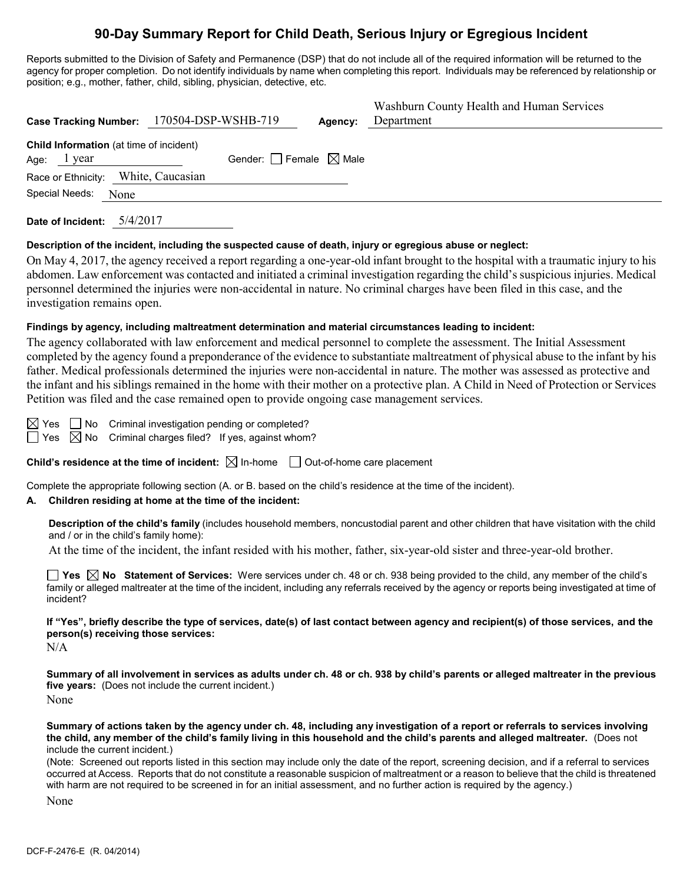# **90-Day Summary Report for Child Death, Serious Injury or Egregious Incident**

Reports submitted to the Division of Safety and Permanence (DSP) that do not include all of the required information will be returned to the agency for proper completion. Do not identify individuals by name when completing this report. Individuals may be referenced by relationship or position; e.g., mother, father, child, sibling, physician, detective, etc.

|                                                               | Case Tracking Number: 170504-DSP-WSHB-719 | Agency: | Washburn County Health and Human Services<br>Department |
|---------------------------------------------------------------|-------------------------------------------|---------|---------------------------------------------------------|
| <b>Child Information</b> (at time of incident)<br>Age: lyear  | Gender: Female $\boxtimes$ Male           |         |                                                         |
| Race or Ethnicity: White, Caucasian<br>Special Needs:<br>None |                                           |         |                                                         |

**Date of Incident:** 5/4/2017

### **Description of the incident, including the suspected cause of death, injury or egregious abuse or neglect:**

On May 4, 2017, the agency received a report regarding a one-year-old infant brought to the hospital with a traumatic injury to his abdomen. Law enforcement was contacted and initiated a criminal investigation regarding the child's suspicious injuries. Medical personnel determined the injuries were non-accidental in nature. No criminal charges have been filed in this case, and the investigation remains open.

## **Findings by agency, including maltreatment determination and material circumstances leading to incident:**

The agency collaborated with law enforcement and medical personnel to complete the assessment. The Initial Assessment completed by the agency found a preponderance of the evidence to substantiate maltreatment of physical abuse to the infant by his father. Medical professionals determined the injuries were non-accidental in nature. The mother was assessed as protective and the infant and his siblings remained in the home with their mother on a protective plan. A Child in Need of Protection or Services Petition was filed and the case remained open to provide ongoing case management services.

 $\boxtimes$  Yes  $\Box$  No Criminal investigation pending or completed?  $\Box$  Yes  $\boxtimes$  No Criminal charges filed? If yes, against whom?

**Child's residence at the time of incident:**  $\boxtimes$  In-home  $\Box$  Out-of-home care placement

Complete the appropriate following section (A. or B. based on the child's residence at the time of the incident).

### **A. Children residing at home at the time of the incident:**

**Description of the child's family** (includes household members, noncustodial parent and other children that have visitation with the child and / or in the child's family home):

At the time of the incident, the infant resided with his mother, father, six-year-old sister and three-year-old brother.

■ Yes **No** Statement of Services: Were services under ch. 48 or ch. 938 being provided to the child, any member of the child's family or alleged maltreater at the time of the incident, including any referrals received by the agency or reports being investigated at time of incident?

**If "Yes", briefly describe the type of services, date(s) of last contact between agency and recipient(s) of those services, and the person(s) receiving those services:**

 $N/A$ 

**Summary of all involvement in services as adults under ch. 48 or ch. 938 by child's parents or alleged maltreater in the previous five years:** (Does not include the current incident.) None

**Summary of actions taken by the agency under ch. 48, including any investigation of a report or referrals to services involving the child, any member of the child's family living in this household and the child's parents and alleged maltreater.** (Does not include the current incident.)

(Note: Screened out reports listed in this section may include only the date of the report, screening decision, and if a referral to services occurred at Access. Reports that do not constitute a reasonable suspicion of maltreatment or a reason to believe that the child is threatened with harm are not required to be screened in for an initial assessment, and no further action is required by the agency.)

None